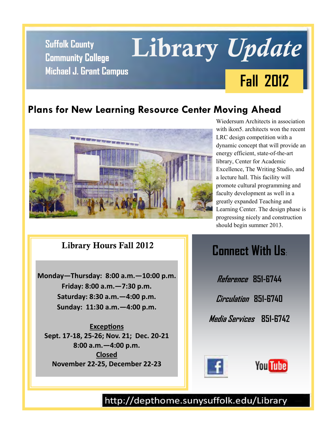**Community College Michael J. Grant Campus**

# **Suffolk County Library** *Update* **Fall 2012**

#### **Plans for New Learning Resource Center Moving Ahead**



Wiedersum Architects in association with ikon5 architects won the recent LRC design competition with a dynamic concept that will provide an energy efficient, state-of-the-art library, Center for Academic Excellence, The Writing Studio, and a lecture hall. This facility will promote cultural programming and faculty development as well in a greatly expanded Teaching and Learning Center. The design phase is progressing nicely and construction should begin summer 2013.

**Library Hours Fall 2012** 

**Monday—Thursday: 8:00 a.m.—10:00 p.m. Friday: 8:00 a.m.—7:30 p.m. Saturday: 8:30 a.m.—4:00 p.m. Sunday: 11:30 a.m.—4:00 p.m.**

**Exceptions Sept. 17-18, 25-26; Nov. 21; Dec. 20-21 8:00 a.m.—4:00 p.m. Closed November 22-25, December 22-23**

# **Connect With Us**:

**Reference 851-6744 Circulation 851-6740** 

**Media Services 851-6742** 





http://depthome.sunysuffolk.edu/Library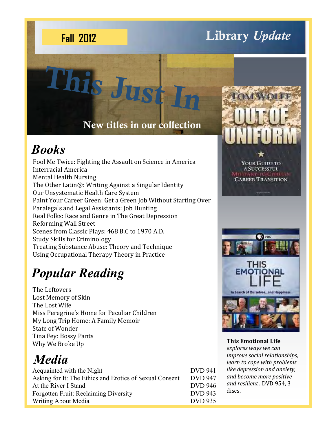# **Library** *Update* **Fall 2012**

### **New titles in our collection**

**This Just In** 

# *Books*

Fool Me Twice: Fighting the Assault on Science in America Interracial America Mental Health Nursing The Other Latin@: Writing Against a Singular Identity Our Unsystematic Health Care System Paint Your Career Green: Get a Green Job Without Starting Over Paralegals and Legal Assistants: Job Hunting Real Folks: Race and Genre in The Great Depression Reforming Wall Street Scenes from Classic Plays: 468 B.C to 1970 A.D. Study Skills for Criminology Treating Substance Abuse: Theory and Technique Using Occupational Therapy Theory in Practice

# *Popular Reading*

The Leftovers Lost Memory of Skin The Lost Wife Miss Peregrine's Home for Peculiar Children My Long Trip Home: A Family Memoir State of Wonder Tina Fey: Bossy Pants Why We Broke Up

# *Media*

| Acquainted with the Night                               | <b>DVD</b> 941 |
|---------------------------------------------------------|----------------|
| Asking for It: The Ethics and Erotics of Sexual Consent | <b>DVD</b> 947 |
| At the River I Stand                                    | <b>DVD</b> 946 |
| Forgotten Fruit: Reclaiming Diversity                   | <b>DVD</b> 943 |
| Writing About Media                                     | <b>DVD</b> 935 |



**This Emotional Life**  *explores ways we can improve social relationships, learn to cope with problems like depression and anxiety, and become more positive and resilient .* DVD 954, 3 discs.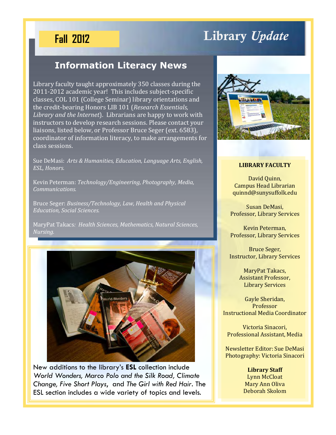#### **Fall 2012**

# **Library** *Update*

#### **Information Literacy News**

Library faculty taught approximately 350 classes during the 2011-2012 academic year! This includes subject-specific classes, COL 101 (College Seminar) library orientations and the credit-bearing Honors LIB 101 (*Research Essentials, Library and the Internet*). Librarians are happy to work with instructors to develop research sessions. Please contact your liaisons, listed below, or Professor Bruce Seger (ext. 6583), coordinator of information literacy, to make arrangements for class sessions.

Sue DeMasi: *Arts & Humanities, Education, Language Arts, English, ESL, Honors.*

Kevin Peterman: *Technology/Engineering, Photography, Media, Communications.*

Bruce Seger: *Business/Technology, Law, Health and Physical Education, Social Sciences.*

MaryPat Takacs*: Health Sciences, Mathematics, Natural Sciences, Nursing.*



New additions to the library's **ESL** collection include *World Wonders, Marco Polo and the Silk Road, Climate Change, Five Short Plays*, and *The Girl with Red Hair*. The ESL section includes a wide variety of topics and levels.



#### **LIBRARY FACULTY**

David Quinn, Campus Head Librarian quinnd@sunysuffolk.edu

Susan DeMasi, Professor, Library Services

Kevin Peterman, Professor, Library Services

Bruce Seger, Instructor, Library Services

> MaryPat Takacs, Assistant Professor, Library Services

Gayle Sheridan, Professor Instructional Media Coordinator

Victoria Sinacori, Professional Assistant, Media

Newsletter Editor: Sue DeMasi Photography: Victoria Sinacori

> **Library Staff** Lynn McCloat Mary Ann Oliva Deborah Skolom